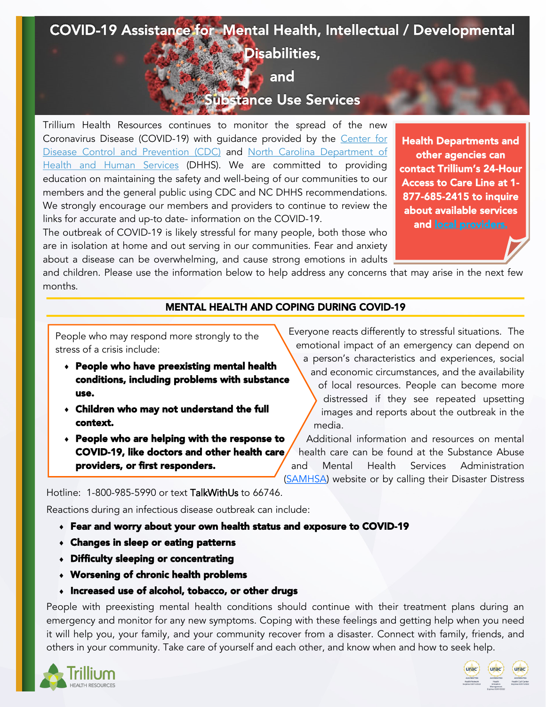# COVID-19 Assistance for Mental Health, Intellectual / Developmental Disabilities, and

## Substance Use Services

Trillium Health Resources continues to monitor the spread of the new Coronavirus Disease (COVID-19) with guidance provided by the [Center for](https://www.cdc.gov/coronavirus/2019-ncov/index.html)  [Disease Control and Prevention \(CDC\)](https://www.cdc.gov/coronavirus/2019-ncov/index.html) and North Carolina Department of [Health and Human Services](https://www.ncdhhs.gov/divisions/public-health/coronavirus-disease-2019-covid-19-response-north-carolina) (DHHS). We are committed to providing education on maintaining the safety and well-being of our communities to our members and the general public using CDC and NC DHHS recommendations. We strongly encourage our members and providers to continue to review the links for accurate and up-to date- information on the COVID-19.

The outbreak of COVID-19 is likely stressful for many people, both those who are in isolation at home and out serving in our communities. Fear and anxiety about a disease can be overwhelming, and cause strong emotions in adults

Health Departments and other agencies can contact Trillium's 24-Hour Access to Care Line at 1- 877-685-2415 to inquire about available services and [local providers.](https://www.trilliumhealthresources.org/for-providers/provider-directory)

and children. Please use the information below to help address any concerns that may arise in the next few months.

### MENTAL HEALTH AND COPING DURING COVID-19

People who may respond more strongly to the stress of a crisis include:

- People who have preexisting mental health conditions, including problems with substance use.
- Children who may not understand the full context.
- People who are helping with the response to COVID-19, like doctors and other health care providers, or first responders.

Everyone reacts differently to stressful situations. The emotional impact of an emergency can depend on

a person's characteristics and experiences, social and economic circumstances, and the availability of local resources. People can become more distressed if they see repeated upsetting images and reports about the outbreak in the media.

Additional information and resources on mental health care can be found at the Substance Abuse and Mental Health Services Administration [\(SAMHSA\)](https://www.samhsa.gov/disaster-preparedness) website or by calling their Disaster Distress

Hotline: 1-800-985-5990 or text TalkWithUs to 66746.

Reactions during an infectious disease outbreak can include:

- Fear and worry about your own health status and exposure to COVID-19
- Changes in sleep or eating patterns
- Difficulty sleeping or concentrating
- Worsening of chronic health problems
- Increased use of alcohol, tobacco, or other drugs

People with preexisting mental health conditions should continue with their treatment plans during an emergency and monitor for any new symptoms. Coping with these feelings and getting help when you need it will help you, your family, and your community recover from a disaster. Connect with family, friends, and others in your community. Take care of yourself and each other, and know when and how to seek help.